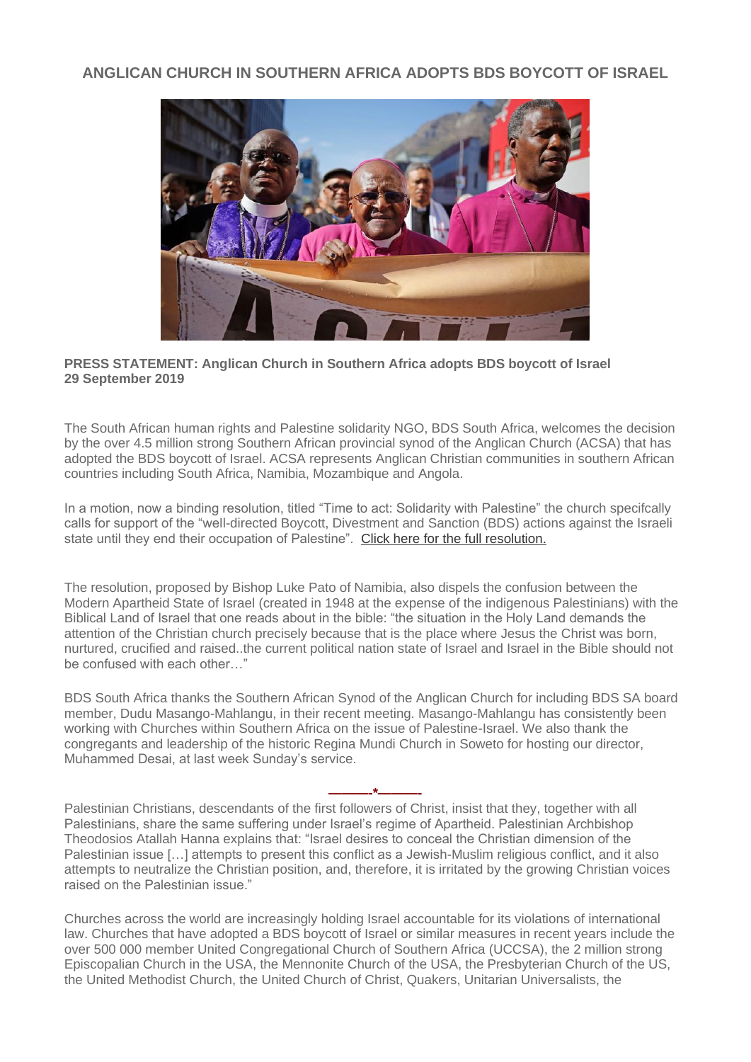## **ANGLICAN CHURCH IN SOUTHERN AFRICA ADOPTS BDS BOYCOTT OF ISRAEL**



## **PRESS STATEMENT: Anglican Church in Southern Africa adopts BDS boycott of Israel 29 September 2019**

The South African human rights and Palestine solidarity NGO, BDS South Africa, welcomes the decision by the over 4.5 million strong Southern African provincial synod of the Anglican Church (ACSA) that has adopted the BDS boycott of Israel. ACSA represents Anglican Christian communities in southern African countries including South Africa, Namibia, Mozambique and Angola.

In a motion, now a binding resolution, titled "Time to act: Solidarity with Palestine" the church specifcally calls for support of the "well-directed Boycott, Divestment and Sanction (BDS) actions against the Israeli state until they end their occupation of Palestine". [Click here for the full resolution.](http://anglican.ink/2019/09/27/anglican-church-in-southern-africa-synod-adopts-anti-israel-pro-bds-resolutions/)

The resolution, proposed by Bishop Luke Pato of Namibia, also dispels the confusion between the Modern Apartheid State of Israel (created in 1948 at the expense of the indigenous Palestinians) with the Biblical Land of Israel that one reads about in the bible: "the situation in the Holy Land demands the attention of the Christian church precisely because that is the place where Jesus the Christ was born, nurtured, crucified and raised..the current political nation state of Israel and Israel in the Bible should not be confused with each other…"

BDS South Africa thanks the Southern African Synod of the Anglican Church for including BDS SA board member, Dudu Masango-Mahlangu, in their recent meeting. Masango-Mahlangu has consistently been working with Churches within Southern Africa on the issue of Palestine-Israel. We also thank the congregants and leadership of the historic Regina Mundi Church in Soweto for hosting our director, Muhammed Desai, at last week Sunday's service.

**———-\*———-**

Palestinian Christians, descendants of the first followers of Christ, insist that they, together with all Palestinians, share the same suffering under Israel's regime of Apartheid. Palestinian Archbishop Theodosios Atallah Hanna explains that: "Israel desires to conceal the Christian dimension of the Palestinian issue [...] attempts to present this conflict as a Jewish-Muslim religious conflict, and it also attempts to neutralize the Christian position, and, therefore, it is irritated by the growing Christian voices raised on the Palestinian issue."

Churches across the world are increasingly holding Israel accountable for its violations of international law. Churches that have adopted a BDS boycott of Israel or similar measures in recent years include the over 500 000 member United Congregational Church of Southern Africa (UCCSA), the 2 million strong Episcopalian Church in the USA, the Mennonite Church of the USA, the Presbyterian Church of the US, the United Methodist Church, the United Church of Christ, Quakers, Unitarian Universalists, the